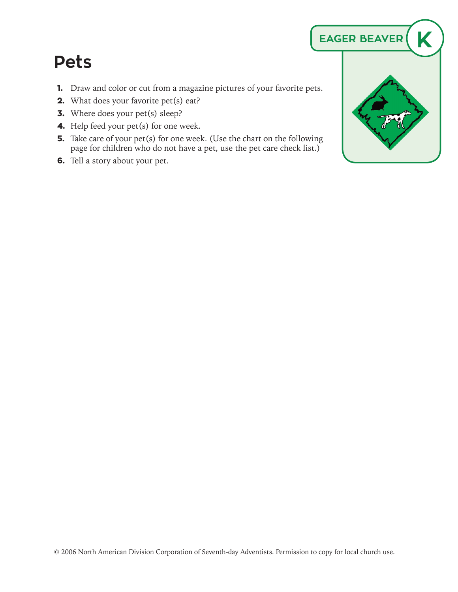## **Pets**

- **1.** Draw and color or cut from a magazine pictures of your favorite pets.
- **2.** What does your favorite pet(s) eat?
- **3.** Where does your pet(s) sleep?
- **4.** Help feed your pet(s) for one week.
- **5.** Take care of your pet(s) for one week. (Use the chart on the following page for children who do not have a pet, use the pet care check list.)
- **6.** Tell a story about your pet.

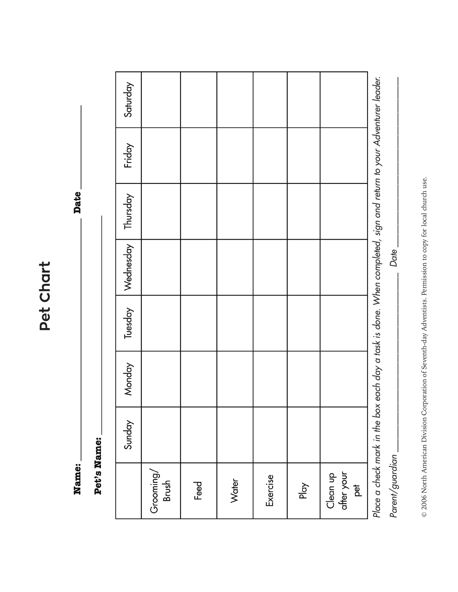Pet Chart **Pet Chart**

Name:

Date\_

Pet's Name:

|                               | Sunday                        | Monday | Tuesday | Wednesday                                                                           | Thursday | Friday | Saturday |
|-------------------------------|-------------------------------|--------|---------|-------------------------------------------------------------------------------------|----------|--------|----------|
| Grooming/<br>Brush            |                               |        |         |                                                                                     |          |        |          |
| Feed                          |                               |        |         |                                                                                     |          |        |          |
| Water                         |                               |        |         |                                                                                     |          |        |          |
| Exercise                      |                               |        |         |                                                                                     |          |        |          |
| Play                          |                               |        |         |                                                                                     |          |        |          |
| after your<br>Clean up<br>pet |                               |        |         |                                                                                     |          |        |          |
|                               | Place a check mark in the box |        |         | each day a task is done. When completed, sign and return to your Adventurer leader. |          |        |          |
| Parent/guardian               |                               |        |         | Date                                                                                |          |        |          |
|                               |                               |        |         |                                                                                     |          |        |          |

© 2006 North American Division Corporation of Seventh-day Adventists. Permission to copy for local church use. © 2006 North American Division Corporation of Seventh-day Adventists. Permission to copy for local church use.